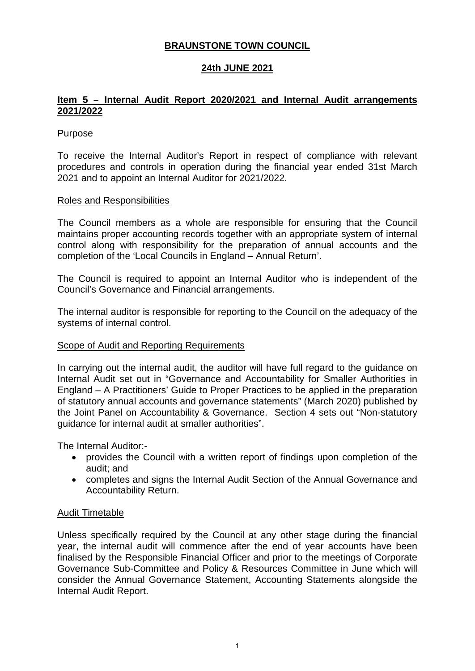## **BRAUNSTONE TOWN COUNCIL**

## **24th JUNE 2021**

## **Item 5 – Internal Audit Report 2020/2021 and Internal Audit arrangements 2021/2022**

## Purpose

To receive the Internal Auditor's Report in respect of compliance with relevant procedures and controls in operation during the financial year ended 31st March 2021 and to appoint an Internal Auditor for 2021/2022.

#### Roles and Responsibilities

The Council members as a whole are responsible for ensuring that the Council maintains proper accounting records together with an appropriate system of internal control along with responsibility for the preparation of annual accounts and the completion of the 'Local Councils in England – Annual Return'.

The Council is required to appoint an Internal Auditor who is independent of the Council's Governance and Financial arrangements.

The internal auditor is responsible for reporting to the Council on the adequacy of the systems of internal control.

## Scope of Audit and Reporting Requirements

In carrying out the internal audit, the auditor will have full regard to the guidance on Internal Audit set out in "Governance and Accountability for Smaller Authorities in England – A Practitioners' Guide to Proper Practices to be applied in the preparation of statutory annual accounts and governance statements" (March 2020) published by the Joint Panel on Accountability & Governance. Section 4 sets out "Non-statutory guidance for internal audit at smaller authorities".

The Internal Auditor:-

- provides the Council with a written report of findings upon completion of the audit; and
- completes and signs the Internal Audit Section of the Annual Governance and Accountability Return.

#### Audit Timetable

Unless specifically required by the Council at any other stage during the financial year, the internal audit will commence after the end of year accounts have been finalised by the Responsible Financial Officer and prior to the meetings of Corporate Governance Sub-Committee and Policy & Resources Committee in June which will consider the Annual Governance Statement, Accounting Statements alongside the Internal Audit Report.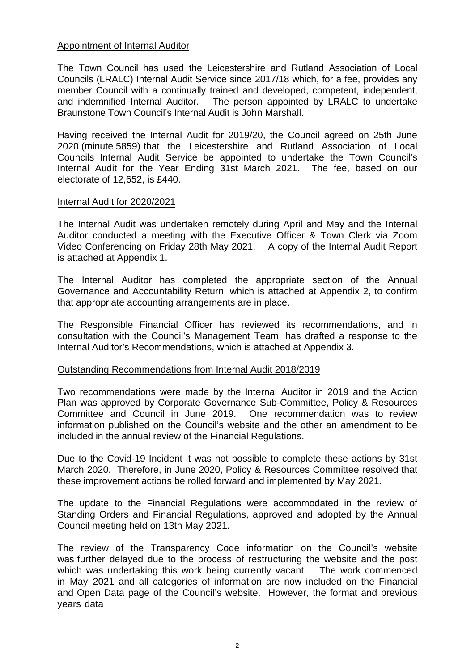### Appointment of Internal Auditor

The Town Council has used the Leicestershire and Rutland Association of Local Councils (LRALC) Internal Audit Service since 2017/18 which, for a fee, provides any member Council with a continually trained and developed, competent, independent, and indemnified Internal Auditor. The person appointed by LRALC to undertake Braunstone Town Council's Internal Audit is John Marshall.

Having received the Internal Audit for 2019/20, the Council agreed on 25th June 2020 (minute 5859) that the Leicestershire and Rutland Association of Local Councils Internal Audit Service be appointed to undertake the Town Council's Internal Audit for the Year Ending 31st March 2021. The fee, based on our electorate of 12,652, is £440.

#### Internal Audit for 2020/2021

The Internal Audit was undertaken remotely during April and May and the Internal Auditor conducted a meeting with the Executive Officer & Town Clerk via Zoom Video Conferencing on Friday 28th May 2021. A copy of the Internal Audit Report is attached at Appendix 1.

The Internal Auditor has completed the appropriate section of the Annual Governance and Accountability Return, which is attached at Appendix 2, to confirm that appropriate accounting arrangements are in place.

The Responsible Financial Officer has reviewed its recommendations, and in consultation with the Council's Management Team, has drafted a response to the Internal Auditor's Recommendations, which is attached at Appendix 3.

#### Outstanding Recommendations from Internal Audit 2018/2019

Two recommendations were made by the Internal Auditor in 2019 and the Action Plan was approved by Corporate Governance Sub-Committee, Policy & Resources Committee and Council in June 2019. One recommendation was to review information published on the Council's website and the other an amendment to be included in the annual review of the Financial Regulations.

Due to the Covid-19 Incident it was not possible to complete these actions by 31st March 2020. Therefore, in June 2020, Policy & Resources Committee resolved that these improvement actions be rolled forward and implemented by May 2021.

The update to the Financial Regulations were accommodated in the review of Standing Orders and Financial Regulations, approved and adopted by the Annual Council meeting held on 13th May 2021.

The review of the Transparency Code information on the Council's website was further delayed due to the process of restructuring the website and the post which was undertaking this work being currently vacant. The work commenced in May 2021 and all categories of information are now included on the Financial and Open Data page of the Council's website. However, the format and previous years data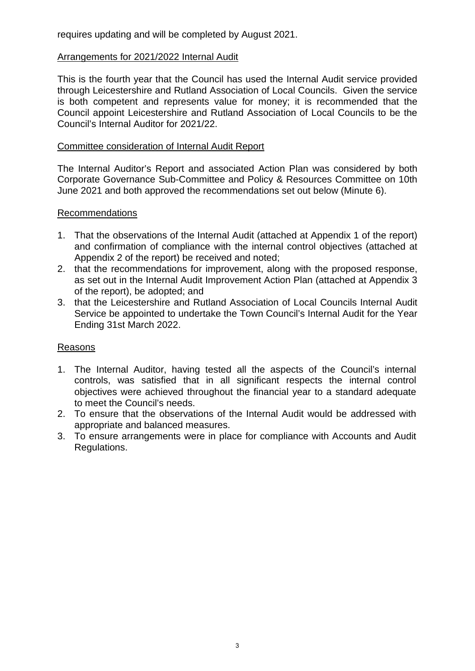requires updating and will be completed by August 2021.

## Arrangements for 2021/2022 Internal Audit

This is the fourth year that the Council has used the Internal Audit service provided through Leicestershire and Rutland Association of Local Councils. Given the service is both competent and represents value for money; it is recommended that the Council appoint Leicestershire and Rutland Association of Local Councils to be the Council's Internal Auditor for 2021/22.

## Committee consideration of Internal Audit Report

The Internal Auditor's Report and associated Action Plan was considered by both Corporate Governance Sub-Committee and Policy & Resources Committee on 10th June 2021 and both approved the recommendations set out below (Minute 6).

## Recommendations

- 1. That the observations of the Internal Audit (attached at Appendix 1 of the report) and confirmation of compliance with the internal control objectives (attached at Appendix 2 of the report) be received and noted;
- 2. that the recommendations for improvement, along with the proposed response, as set out in the Internal Audit Improvement Action Plan (attached at Appendix 3 of the report), be adopted; and
- 3. that the Leicestershire and Rutland Association of Local Councils Internal Audit Service be appointed to undertake the Town Council's Internal Audit for the Year Ending 31st March 2022.

## Reasons

- 1. The Internal Auditor, having tested all the aspects of the Council's internal controls, was satisfied that in all significant respects the internal control objectives were achieved throughout the financial year to a standard adequate to meet the Council's needs.
- 2. To ensure that the observations of the Internal Audit would be addressed with appropriate and balanced measures.
- 3. To ensure arrangements were in place for compliance with Accounts and Audit Regulations.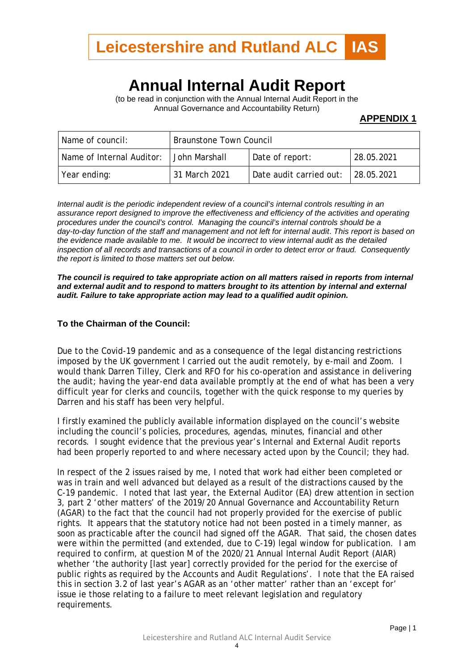

# **Annual Internal Audit Report**

(to be read in conjunction with the Annual Internal Audit Report in the Annual Governance and Accountability Return)

#### **APPENDIX 1**

| Name of council:          | <b>Braunstone Town Council</b> |                         |            |  |
|---------------------------|--------------------------------|-------------------------|------------|--|
| Name of Internal Auditor: | l John Marshall.               | Date of report:         | 28.05.2021 |  |
| Year ending:              | 31 March 2021                  | Date audit carried out: | 28.05.2021 |  |

*Internal audit is the periodic independent review of a council's internal controls resulting in an assurance report designed to improve the effectiveness and efficiency of the activities and operating procedures under the council's control. Managing the council's internal controls should be a day-to-day function of the staff and management and not left for internal audit*. *This report is based on the evidence made available to me. It would be incorrect to view internal audit as the detailed inspection of all records and transactions of a council in order to detect error or fraud. Consequently the report is limited to those matters set out below.*

*The council is required to take appropriate action on all matters raised in reports from internal and external audit and to respond to matters brought to its attention by internal and external audit. Failure to take appropriate action may lead to a qualified audit opinion.*

#### **To the Chairman of the Council:**

Due to the Covid-19 pandemic and as a consequence of the legal distancing restrictions imposed by the UK government I carried out the audit remotely, by e-mail and Zoom. I would thank Darren Tilley, Clerk and RFO for his co-operation and assistance in delivering the audit; having the year-end data available promptly at the end of what has been a very difficult year for clerks and councils, together with the quick response to my queries by Darren and his staff has been very helpful.

I firstly examined the publicly available information displayed on the council's website including the council's policies, procedures, agendas, minutes, financial and other records. I sought evidence that the previous year's Internal and External Audit reports had been properly reported to and where necessary acted upon by the Council; they had.

In respect of the 2 issues raised by me, I noted that work had either been completed or was in train and well advanced but delayed as a result of the distractions caused by the C-19 pandemic. I noted that last year, the External Auditor (EA) drew attention in section 3, part 2 'other matters' of the 2019/20 Annual Governance and Accountability Return (AGAR) to the fact that the council had not properly provided for the exercise of public rights. It appears that the statutory notice had not been posted in a timely manner, as soon as practicable after the council had signed off the AGAR. That said, the chosen dates were within the permitted (and extended, due to C-19) legal window for publication. I am required to confirm, at question M of the 2020/21 Annual Internal Audit Report (AIAR) whether 'the authority [last year] correctly provided for the period for the exercise of public rights as required by the Accounts and Audit Regulations'. I note that the EA raised this in section 3.2 of last year's AGAR as an 'other matter' rather than an 'except for' issue ie those relating to a failure to meet relevant legislation and regulatory requirements.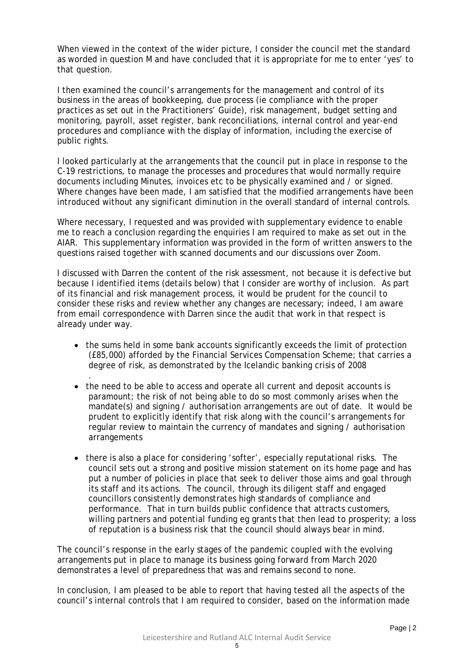When viewed in the context of the wider picture, I consider the council met the standard as worded in question M and have concluded that it is appropriate for me to enter 'yes' to that question.

I then examined the council's arrangements for the management and control of its business in the areas of bookkeeping, due process (ie compliance with the proper practices as set out in the Practitioners' Guide), risk management, budget setting and monitoring, payroll, asset register, bank reconciliations, internal control and year-end procedures and compliance with the display of information, including the exercise of public rights.

I looked particularly at the arrangements that the council put in place in response to the C-19 restrictions, to manage the processes and procedures that would normally require documents including Minutes, invoices etc to be physically examined and / or signed. Where changes have been made, I am satisfied that the modified arrangements have been introduced without any significant diminution in the overall standard of internal controls.

Where necessary, I requested and was provided with supplementary evidence to enable me to reach a conclusion regarding the enquiries I am required to make as set out in the AIAR. This supplementary information was provided in the form of written answers to the questions raised together with scanned documents and our discussions over Zoom.

I discussed with Darren the content of the risk assessment, not because it is defective but because I identified items (details below) that I consider are worthy of inclusion. As part of its financial and risk management process, it would be prudent for the council to consider these risks and review whether any changes are necessary; indeed, I am aware from email correspondence with Darren since the audit that work in that respect is already under way.

• the sums held in some bank accounts significantly exceeds the limit of protection (£85,000) afforded by the Financial Services Compensation Scheme; that carries a degree of risk, as demonstrated by the Icelandic banking crisis of 2008

.

- the need to be able to access and operate all current and deposit accounts is paramount; the risk of not being able to do so most commonly arises when the mandate(s) and signing / authorisation arrangements are out of date. It would be prudent to explicitly identify that risk along with the council's arrangements for regular review to maintain the currency of mandates and signing / authorisation arrangements
- there is also a place for considering 'softer', especially reputational risks. The council sets out a strong and positive mission statement on its home page and has put a number of policies in place that seek to deliver those aims and goal through its staff and its actions. The council, through its diligent staff and engaged councillors consistently demonstrates high standards of compliance and performance. That in turn builds public confidence that attracts customers, willing partners and potential funding eg grants that then lead to prosperity; a loss of reputation is a business risk that the council should always bear in mind.

The council's response in the early stages of the pandemic coupled with the evolving arrangements put in place to manage its business going forward from March 2020 demonstrates a level of preparedness that was and remains second to none.

In conclusion, I am pleased to be able to report that having tested all the aspects of the council's internal controls that I am required to consider, based on the information made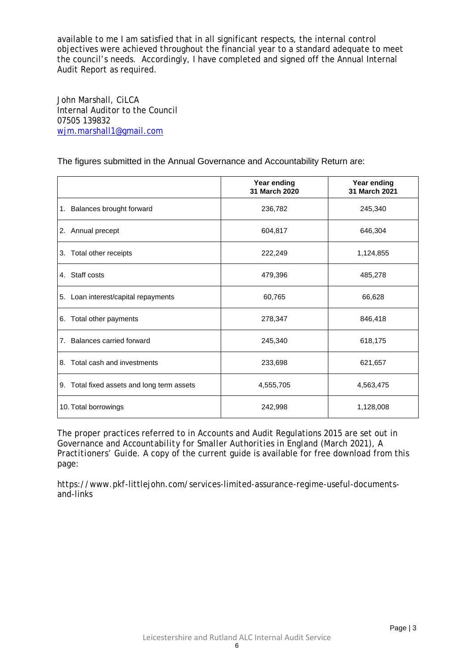available to me I am satisfied that in all significant respects, the internal control objectives were achieved throughout the financial year to a standard adequate to meet the council's needs. Accordingly, I have completed and signed off the Annual Internal Audit Report as required.

John Marshall, CiLCA Internal Auditor to the Council 07505 139832 [wjm.marshall1@gmail.com](mailto:wjm.marshall1@gmail.com)

The figures submitted in the Annual Governance and Accountability Return are:

|                                            | Year ending<br>31 March 2020 | Year ending<br>31 March 2021 |
|--------------------------------------------|------------------------------|------------------------------|
| 1. Balances brought forward                | 236,782                      | 245,340                      |
| 2. Annual precept                          | 604,817                      | 646,304                      |
| Total other receipts<br>3.                 | 222,249                      | 1,124,855                    |
| 4. Staff costs                             | 479,396                      | 485,278                      |
| 5. Loan interest/capital repayments        | 60,765                       | 66,628                       |
| 6. Total other payments                    | 278,347                      | 846,418                      |
| 7. Balances carried forward                | 245,340                      | 618,175                      |
| Total cash and investments<br>8.           | 233,698                      | 621,657                      |
| 9. Total fixed assets and long term assets | 4,555,705                    | 4,563,475                    |
| 10. Total borrowings                       | 242,998                      | 1,128,008                    |

The proper practices referred to in Accounts and Audit Regulations 2015 are set out in *Governance and Accountability for Smaller Authorities in England (March 2021), A Practitioners' Guide*. A copy of the current guide is available for free download from this page:

https://www.pkf-littlejohn.com/services-limited-assurance-regime-useful-documentsand-links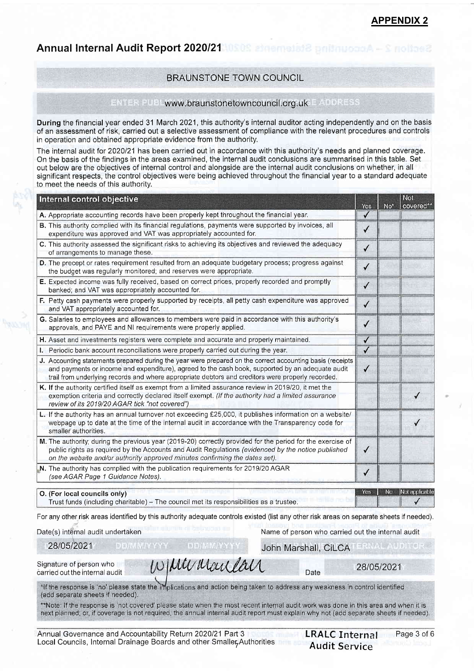Annual Internal Audit Report 2020/21 10508 algemeist Bundhupger

#### BRAUNSTONE TOWN COUNCIL

#### ENTER PUBL www.braunstonetowncouncil.org.uk E ADDRESS

During the financial year ended 31 March 2021, this authority's internal auditor acting independently and on the basis of an assessment of risk, carried out a selective assessment of compliance with the relevant procedures and controls in operation and obtained appropriate evidence from the authority.

The internal audit for 2020/21 has been carried out in accordance with this authority's needs and planned coverage. On the basis of the findings in the areas examined, the internal audit conclusions are summarised in this table. Set out below are the objectives of internal control and alongside are the internal audit conclusions on whether, in all significant respects, the control objectives were being achieved throughout the financial year to a standard adequate to meet the needs of this authoritv.

| Internal control objective                                                                                                                                                                                                                                                                                         |              |                 | Not.<br>covered** |
|--------------------------------------------------------------------------------------------------------------------------------------------------------------------------------------------------------------------------------------------------------------------------------------------------------------------|--------------|-----------------|-------------------|
| A. Appropriate accounting records have been properly kept throughout the financial year.                                                                                                                                                                                                                           | Yes          | No <sup>*</sup> |                   |
| B. This authority complied with its financial regulations, payments were supported by invoices, all<br>expenditure was approved and VAT was appropriately accounted for.                                                                                                                                           | $\checkmark$ |                 |                   |
| C. This authority assessed the significant risks to achieving its objectives and reviewed the adequacy<br>of arrangements to manage these.                                                                                                                                                                         | ✓            |                 |                   |
| D. The precept or rates requirement resulted from an adequate budgetary process; progress against<br>the budget was regularly monitored; and reserves were appropriate.                                                                                                                                            | $\checkmark$ |                 |                   |
| E. Expected income was fully received, based on correct prices, properly recorded and promptly<br>banked; and VAT was appropriately accounted for.                                                                                                                                                                 | $\checkmark$ |                 |                   |
| F. Petty cash payments were properly supported by receipts, all petty cash expenditure was approved<br>and VAT appropriately accounted for.                                                                                                                                                                        | $\checkmark$ |                 |                   |
| G. Salaries to employees and allowances to members were paid in accordance with this authority's<br>approvals, and PAYE and NI requirements were properly applied.                                                                                                                                                 | $\checkmark$ |                 |                   |
| H. Asset and investments registers were complete and accurate and properly maintained.                                                                                                                                                                                                                             | ✓            |                 |                   |
| Periodic bank account reconciliations were properly carried out during the year.                                                                                                                                                                                                                                   | √            |                 |                   |
| J. Accounting statements prepared during the year were prepared on the correct accounting basis (receipts<br>and payments or income and expenditure), agreed to the cash book, supported by an adequate audit<br>trail from underlying records and where appropriate debtors and creditors were properly recorded. | ✓            |                 |                   |
| K. If the authority certified itself as exempt from a limited assurance review in 2019/20, it met the<br>exemption criteria and correctly declared itself exempt. (If the authority had a limited assurance<br>review of its 2019/20 AGAR tick "not covered")                                                      |              |                 |                   |
| L. If the authority has an annual turnover not exceeding £25,000, it publishes information on a website/<br>webpage up to date at the time of the internal audit in accordance with the Transparency code for<br>smaller authorities.                                                                              |              |                 |                   |
| M. The authority; during the previous year (2019-20) correctly provided for the period for the exercise of<br>public rights as required by the Accounts and Audit Regulations (evidenced by the notice published<br>on the website and/or authority approved minutes confirming the dates set).                    | $\checkmark$ |                 |                   |
| N. The authority has complied with the publication requirements for 2019/20 AGAR<br>(see AGAR Page 1 Guidance Notes).                                                                                                                                                                                              | ✓            |                 |                   |
|                                                                                                                                                                                                                                                                                                                    | Yes          | No              | Not applicable    |
| O. (For local councils only)<br>Turns fruide, (including abouttable). The correct most its recognitions and a turnship                                                                                                                                                                                             |              |                 |                   |

Trust funds (including charitable) - The council met its responsibilities as a trustee.

For any other risk areas identified by this authority adequate controls existed (list any other risk areas on separate sheets if needed).

Date(s) internal audit undertaken

28t0512021

Name of person who carried out the internal audit

**ERNAL AUDITO** 

John Marshall, CiLCA

Signature of person who carried out the internal audit

Munday

Date 28/05/2021

\*If the response is 'no' please state the implications and action being taken to address any weakness in control identified (add separate sheets if needed).

\*\*Note: If the response is 'not covered' please state when the most recent internal audit work was done in this area and when it is next planned; or, if coverage is not required, the annual internal audit report must explain why not (add separate sheets if needed).

**DD/MM/YYY**